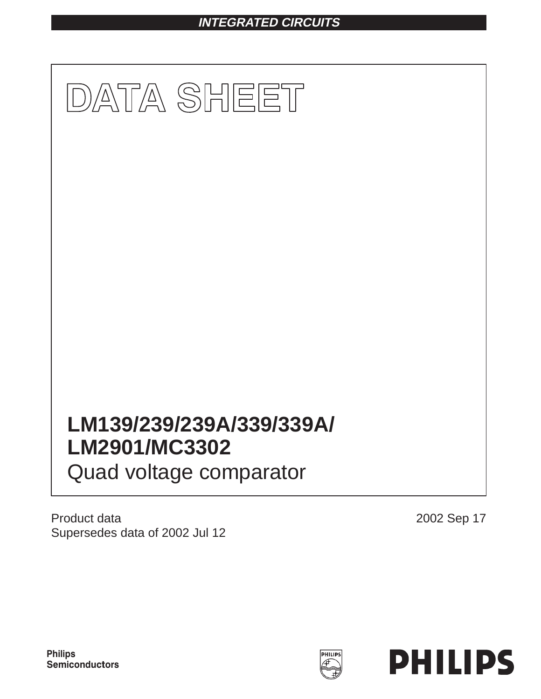# **INTEGRATED CIRCUITS**



Product data Supersedes data of 2002 Jul 12

2002 Sep 17

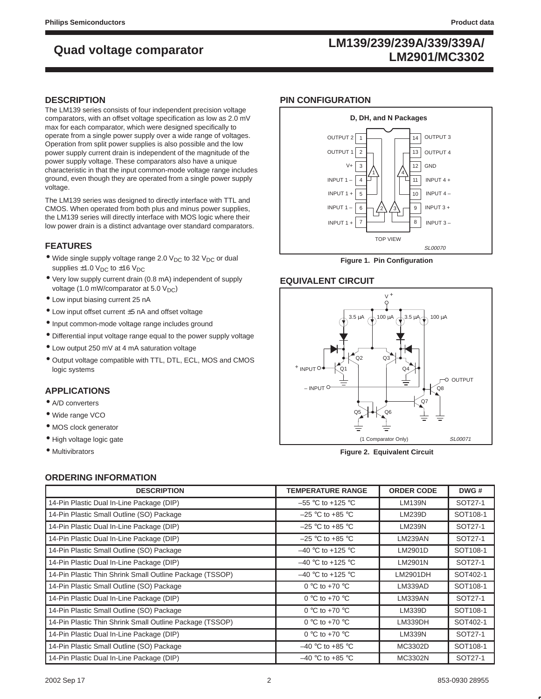## **LM139/239/239A/339/339A/ LM2901/MC3302 Quad voltage comparator**

## **DESCRIPTION**

The LM139 series consists of four independent precision voltage comparators, with an offset voltage specification as low as 2.0 mV max for each comparator, which were designed specifically to operate from a single power supply over a wide range of voltages. Operation from split power supplies is also possible and the low power supply current drain is independent of the magnitude of the power supply voltage. These comparators also have a unique characteristic in that the input common-mode voltage range includes ground, even though they are operated from a single power supply voltage.

The LM139 series was designed to directly interface with TTL and CMOS. When operated from both plus and minus power supplies, the LM139 series will directly interface with MOS logic where their low power drain is a distinct advantage over standard comparators.

### **FEATURES**

- Wide single supply voltage range 2.0  $V_{DC}$  to 32  $V_{DC}$  or dual supplies  $\pm 1.0$  V<sub>DC</sub> to  $\pm 16$  V<sub>DC</sub>
- Very low supply current drain (0.8 mA) independent of supply voltage (1.0 mW/comparator at 5.0  $V_{DC}$ )
- Low input biasing current 25 nA
- Low input offset current ±5 nA and offset voltage
- Input common-mode voltage range includes ground
- Differential input voltage range equal to the power supply voltage
- Low output 250 mV at 4 mA saturation voltage
- Output voltage compatible with TTL, DTL, ECL, MOS and CMOS logic systems

## **APPLICATIONS**

- A/D converters
- Wide range VCO
- MOS clock generator
- High voltage logic gate
- Multivibrators

## **PIN CONFIGURATION**



**Figure 1. Pin Configuration**

## **EQUIVALENT CIRCUIT**



**Figure 2. Equivalent Circuit**

## **ORDERING INFORMATION**

| <b>DESCRIPTION</b>                                       | <b>TEMPERATURE RANGE</b> | <b>ORDER CODE</b> | DWG#     |
|----------------------------------------------------------|--------------------------|-------------------|----------|
| 14-Pin Plastic Dual In-Line Package (DIP)                | $-55$ °C to +125 °C      | <b>LM139N</b>     | SOT27-1  |
| 14-Pin Plastic Small Outline (SO) Package                | $-25$ °C to +85 °C       | LM239D            | SOT108-1 |
| 14-Pin Plastic Dual In-Line Package (DIP)                | $-25$ °C to +85 °C       | <b>LM239N</b>     | SOT27-1  |
| 14-Pin Plastic Dual In-Line Package (DIP)                | $-25$ °C to +85 °C       | LM239AN           | SOT27-1  |
| 14-Pin Plastic Small Outline (SO) Package                | $-40$ °C to +125 °C      | LM2901D           | SOT108-1 |
| 14-Pin Plastic Dual In-Line Package (DIP)                | $-40$ °C to +125 °C      | LM2901N           | SOT27-1  |
| 14-Pin Plastic Thin Shrink Small Outline Package (TSSOP) | $-40$ °C to +125 °C      | LM2901DH          | SOT402-1 |
| 14-Pin Plastic Small Outline (SO) Package                | 0 °C to +70 °C           | LM339AD           | SOT108-1 |
| 14-Pin Plastic Dual In-Line Package (DIP)                | 0 °C to +70 °C           | LM339AN           | SOT27-1  |
| 14-Pin Plastic Small Outline (SO) Package                | 0 °C to +70 °C           | LM339D            | SOT108-1 |
| 14-Pin Plastic Thin Shrink Small Outline Package (TSSOP) | 0 °C to +70 °C           | LM339DH           | SOT402-1 |
| 14-Pin Plastic Dual In-Line Package (DIP)                | 0 °C to +70 °C           | <b>LM339N</b>     | SOT27-1  |
| 14-Pin Plastic Small Outline (SO) Package                | $-40$ °C to +85 °C       | MC3302D           | SOT108-1 |
| 14-Pin Plastic Dual In-Line Package (DIP)                | $-40$ °C to +85 °C       | MC3302N           | SOT27-1  |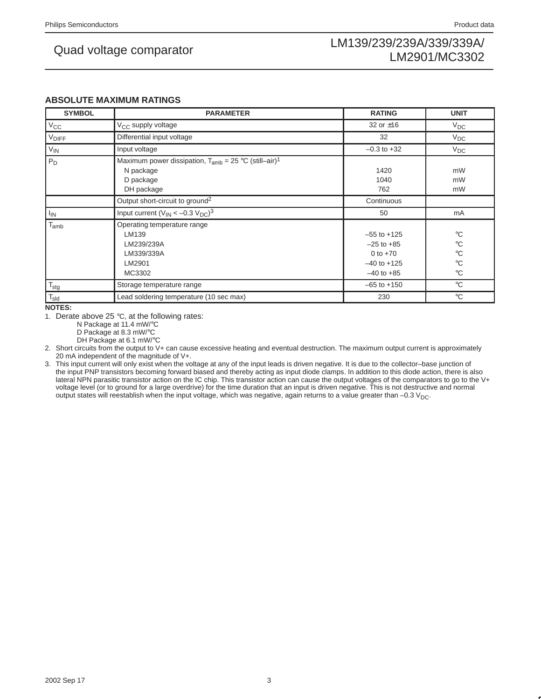### **ABSOLUTE MAXIMUM RATINGS**

| <b>SYMBOL</b>    | <b>PARAMETER</b>                                                                                              | <b>RATING</b>                                                                        | <b>UNIT</b>                                                                 |
|------------------|---------------------------------------------------------------------------------------------------------------|--------------------------------------------------------------------------------------|-----------------------------------------------------------------------------|
| $V_{\rm CC}$     | V <sub>CC</sub> supply voltage                                                                                | 32 or $\pm 16$                                                                       | $V_{DC}$                                                                    |
| <b>VDIFF</b>     | Differential input voltage                                                                                    | 32                                                                                   | $V_{DC}$                                                                    |
| $V_{IN}$         | Input voltage                                                                                                 | $-0.3$ to $+32$                                                                      | $V_{DC}$                                                                    |
| $P_D$            | Maximum power dissipation, $T_{amb} = 25 °C$ (still–air) <sup>1</sup><br>N package<br>D package<br>DH package | 1420<br>1040<br>762                                                                  | mW<br>mW<br>mW                                                              |
|                  | Output short-circuit to ground <sup>2</sup>                                                                   | Continuous                                                                           |                                                                             |
| <sup>I</sup> IN  | Input current $(V_{IN} < -0.3 V_{DC})^3$                                                                      | 50                                                                                   | mA                                                                          |
| $T_{amb}$        | Operating temperature range<br>LM139<br>LM239/239A<br>LM339/339A<br>LM2901<br>MC3302                          | $-55$ to $+125$<br>$-25$ to $+85$<br>0 to $+70$<br>$-40$ to $+125$<br>$-40$ to $+85$ | $^{\circ}C$<br>$^{\circ}C$<br>$\rm ^{\circ}C$<br>$^{\circ}C$<br>$^{\circ}C$ |
| $T_{\text{stg}}$ | Storage temperature range                                                                                     | $-65$ to $+150$                                                                      | $^{\circ}$ C                                                                |
| $T_{sld}$        | Lead soldering temperature (10 sec max)                                                                       | 230                                                                                  | $^{\circ}$ C                                                                |

**NOTES:**

1. Derate above 25 °C, at the following rates:

N Package at 11.4 mW/°C

D Package at 8.3 mW/°C

DH Package at 6.1 mW/°C

2. Short circuits from the output to V+ can cause excessive heating and eventual destruction. The maximum output current is approximately 20 mA independent of the magnitude of V+.

3. This input current will only exist when the voltage at any of the input leads is driven negative. It is due to the collector–base junction of the input PNP transistors becoming forward biased and thereby acting as input diode clamps. In addition to this diode action, there is also lateral NPN parasitic transistor action on the IC chip. This transistor action can cause the output voltages of the comparators to go to the V+ voltage level (or to ground for a large overdrive) for the time duration that an input is driven negative. This is not destructive and normal output states will reestablish when the input voltage, which was negative, again returns to a value greater than  $-0.3$  V<sub>DC</sub>.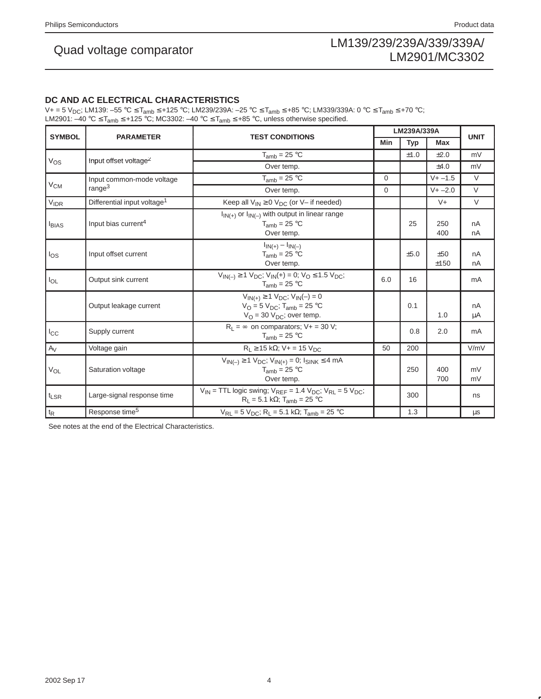## **DC AND AC ELECTRICAL CHARACTERISTICS**

V+ = 5 V<sub>DC</sub>; LM139: –55 °C ≤ T<sub>amb</sub> ≤ +125 °C; LM239/239A: –25 °C ≤ T<sub>amb</sub> ≤ +85 °C; LM339/339A: 0 °C ≤ T<sub>amb</sub> ≤ +70 °C; LM2901: –40 °C ≤ T<sub>amb</sub> ≤ +125 °C; MC3302: –40 °C ≤ T<sub>amb</sub> ≤ +85 °C, unless otherwise specified.

| <b>SYMBOL</b>     | <b>PARAMETER</b>                        | <b>TEST CONDITIONS</b>                                                                                                                          | LM239A/339A |            |             | <b>UNIT</b> |
|-------------------|-----------------------------------------|-------------------------------------------------------------------------------------------------------------------------------------------------|-------------|------------|-------------|-------------|
|                   |                                         |                                                                                                                                                 |             | <b>Typ</b> | Max         |             |
|                   |                                         | $T_{amb}$ = 25 °C                                                                                                                               |             | ±1.0       | $\pm 2.0$   | mV          |
| $V_{OS}$          | Input offset voltage <sup>2</sup>       | Over temp.                                                                                                                                      |             |            | ±4.0        | mV          |
|                   | Input common-mode voltage               | $T_{amb} = 25 °C$                                                                                                                               | 0           |            | $V + -1.5$  | $\vee$      |
| $V_{CM}$          | range $3$                               | Over temp.                                                                                                                                      | 0           |            | $V + -2.0$  | V           |
| <b>VIDR</b>       | Differential input voltage <sup>1</sup> | Keep all $V_{IN} \ge 0$ $V_{DC}$ (or V– if needed)                                                                                              |             |            | $V +$       | $\vee$      |
| I <sub>BIAS</sub> | Input bias current <sup>4</sup>         | $I_{IN(+)}$ or $I_{IN(-)}$ with output in linear range<br>$T_{amb}$ = 25 °C<br>Over temp.                                                       |             | 25         | 250<br>400  | nA<br>nA    |
| $I_{OS}$          | Input offset current                    | $I_{IN(+)} - I_{IN(-)}$<br>$T_{amb}$ = 25 °C<br>Over temp.                                                                                      |             | ±5.0       | ±50<br>±150 | nA<br>nA    |
| $I_{OL}$          | Output sink current                     | $V_{IN(-)} \ge 1 V_{DC}$ ; $V_{IN}(+) = 0$ ; $V_{O} \le 1.5 V_{DC}$ ;<br>$T_{amb}$ = 25 °C                                                      | 6.0         | 16         |             | mA          |
|                   | Output leakage current                  | $V_{IN(+)} \ge 1 V_{DC}$ ; $V_{IN}(-) = 0$<br>$V_O = 5$ $V_{DC}$ ; T <sub>amb</sub> = 25 °C<br>$V_{\text{O}}$ = 30 $V_{\text{DC}}$ ; over temp. |             | 0.1        | 1.0         | nA<br>μA    |
| $I_{\rm CC}$      | Supply current                          | $R_L = \infty$ on comparators; V+ = 30 V;<br>$T_{amb} = 25 °C$                                                                                  |             | 0.8        | 2.0         | mA          |
| $A_V$             | Voltage gain                            | $R_L \ge 15 k\Omega$ ; V+ = 15 V <sub>DC</sub>                                                                                                  | 50          | 200        |             | V/mV        |
| $V_{OL}$          | Saturation voltage                      | $V_{IN(-)} \ge 1$ $V_{DC}$ ; $V_{IN(+)} = 0$ ; $I_{SINK} \le 4$ mA<br>$T_{amb}$ = 25 °C<br>Over temp.                                           |             | 250        | 400<br>700  | mV<br>mV    |
| $t_{LSR}$         | Large-signal response time              | $V_{IN}$ = TTL logic swing; $V_{REF}$ = 1.4 $V_{DC}$ ; $V_{RL}$ = 5 $V_{DC}$ ;<br>$R_1 = 5.1 k\Omega$ ; T <sub>amb</sub> = 25 °C                |             | 300        |             | ns          |
| $t_{\mathsf{R}}$  | Response time <sup>5</sup>              | $V_{RL} = 5 V_{DC}$ ; R <sub>L</sub> = 5.1 kΩ; T <sub>amb</sub> = 25 °C                                                                         |             | 1.3        |             | $\mu s$     |

See notes at the end of the Electrical Characteristics.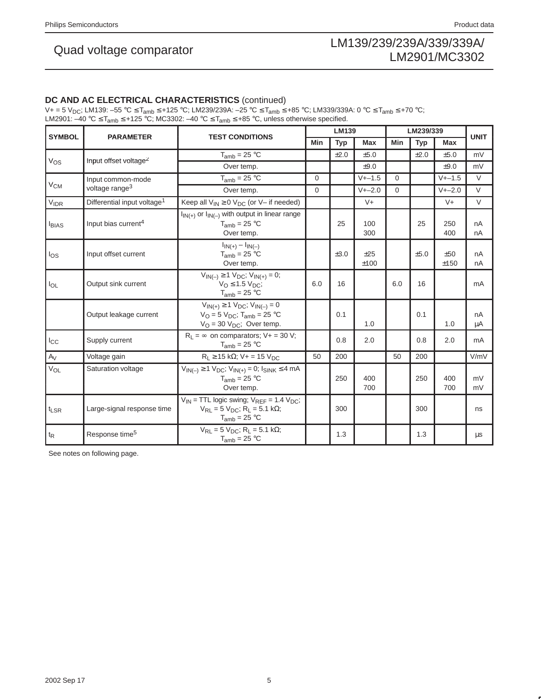## **DC AND AC ELECTRICAL CHARACTERISTICS** (continued)

V+ = 5 V<sub>DC</sub>; LM139: –55 °C ≤ T<sub>amb</sub> ≤ +125 °C; LM239/239A: –25 °C ≤ T<sub>amb</sub> ≤ +85 °C; LM339/339A: 0 °C ≤ T<sub>amb</sub> ≤ +70 °C; LM2901: –40 °C ≤ T<sub>amb</sub> ≤ +125 °C; MC3302: –40 °C ≤ T<sub>amb</sub> ≤ +85 °C, unless otherwise specified.

| <b>SYMBOL</b>    | <b>PARAMETER</b>                        | <b>TEST CONDITIONS</b>                                                                                                                |          | <b>LM139</b> |             |            | LM239/339 |             | <b>UNIT</b> |  |
|------------------|-----------------------------------------|---------------------------------------------------------------------------------------------------------------------------------------|----------|--------------|-------------|------------|-----------|-------------|-------------|--|
|                  |                                         |                                                                                                                                       | Min      | <b>Typ</b>   | Max         | <b>Min</b> | Typ       | Max         |             |  |
|                  | Input offset voltage <sup>2</sup>       | $T_{amb}$ = 25 °C                                                                                                                     |          | ±2.0         | ±5.0        |            | ±2.0      | ±5.0        | mV          |  |
| $V_{OS}$         |                                         | Over temp.                                                                                                                            |          |              | $+9.0$      |            |           | $+9.0$      | mV          |  |
| $V_{CM}$         | Input common-mode                       | $T_{amb}$ = 25 °C                                                                                                                     | $\Omega$ |              | $V + -1.5$  | $\Omega$   |           | $V + -1.5$  | $\vee$      |  |
|                  | voltage range <sup>3</sup>              | Over temp.                                                                                                                            | 0        |              | $V + -2.0$  | $\Omega$   |           | $V + -2.0$  | $\vee$      |  |
| $V_{IDR}$        | Differential input voltage <sup>1</sup> | Keep all $V_{IN} \ge 0$ $V_{DC}$ (or V- if needed)                                                                                    |          |              | $V +$       |            |           | $V +$       | $\vee$      |  |
| <b>I</b> BIAS    | Input bias current <sup>4</sup>         | $I_{IN(+)}$ or $I_{IN(-)}$ with output in linear range<br>$T_{amb}$ = 25 °C<br>Over temp.                                             |          | 25           | 100<br>300  |            | 25        | 250<br>400  | nA<br>nA    |  |
| $I_{OS}$         | Input offset current                    | $I_{IN(+)} - I_{IN(-)}$<br>$T_{amb}$ = 25 °C<br>Over temp.                                                                            |          | ±3.0         | ±25<br>±100 |            | ±5.0      | ±50<br>±150 | nA<br>nA    |  |
| $I_{OL}$         | Output sink current                     | $V_{IN(-)} \ge 1 V_{DC}$ ; $V_{IN(+)} = 0$ ;<br>$VO \le 1.5 VDC$ ;<br>$T_{amb} = 25 °C$                                               | 6.0      | 16           |             | 6.0        | 16        |             | mA          |  |
|                  | Output leakage current                  | $V_{IN(+)} \ge 1 V_{DC}$ ; $V_{IN(-)} = 0$<br>$V_{\rm O} = 5 V_{\rm DC}$ ; T <sub>amb</sub> = 25 °C<br>$V_O = 30 V_{DC}$ ; Over temp. |          | 0.1          | 1.0         |            | 0.1       | 1.0         | nA<br>μA    |  |
| $I_{\rm CC}$     | Supply current                          | $R_L = \infty$ on comparators; $V_+ = 30 V$ ;<br>$T_{amb}$ = 25 °C                                                                    |          | 0.8          | 2.0         |            | 0.8       | 2.0         | mA          |  |
| $A_V$            | Voltage gain                            | $R_1 \ge 15 k\Omega$ ; V+ = 15 V <sub>DC</sub>                                                                                        | 50       | 200          |             | 50         | 200       |             | V/mV        |  |
| $V_{OL}$         | Saturation voltage                      | $V_{IN(-)} \ge 1 V_{DC}$ ; $V_{IN(+)} = 0$ ; $I_{SINK} \le 4 mA$<br>$T_{amb}$ = 25 °C<br>Over temp.                                   |          | 250          | 400<br>700  |            | 250       | 400<br>700  | mV<br>mV    |  |
| t <sub>LSR</sub> | Large-signal response time              | $V_{IN}$ = TTL logic swing; $V_{REF}$ = 1.4 $V_{DC}$ ;<br>$V_{RL} = 5 V_{DC}$ ; R <sub>L</sub> = 5.1 kΩ;<br>$T_{amb}$ = 25 °C         |          | 300          |             |            | 300       |             | ns          |  |
| $t_{\mathsf{R}}$ | Response time <sup>5</sup>              | $V_{RL} = 5 V_{DC}$ ; R <sub>L</sub> = 5.1 kΩ;<br>$T_{amb} = 25 °C$                                                                   |          | 1.3          |             |            | 1.3       |             | $\mu s$     |  |

See notes on following page.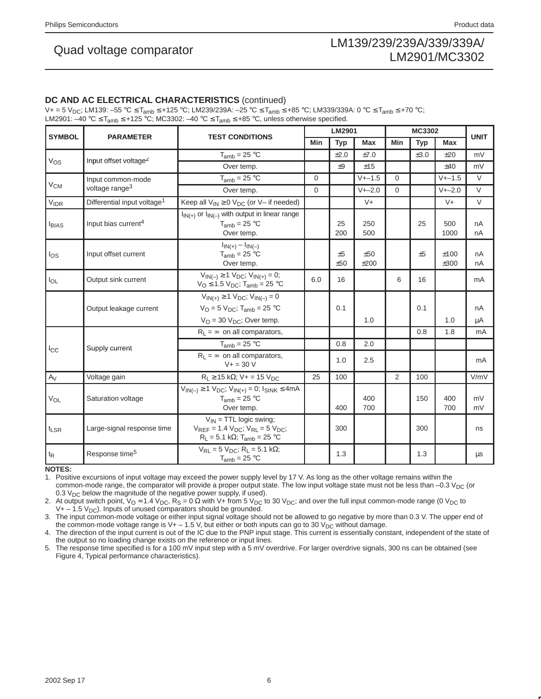# LM139/239/239A/339/339A/ Quad voltage comparator<br>LM2901/MC3302

## **DC AND AC ELECTRICAL CHARACTERISTICS** (continued)

 $V+=5$  V<sub>DC</sub>; LM139: –55 °C ≤ T<sub>amb</sub> ≤ +125 °C; LM239/239A: –25 °C ≤ T<sub>amb</sub> ≤ +85 °C; LM339/339A: 0 °C ≤ T<sub>amb</sub> ≤ +70 °C; LM2901:  $-40 °C \leq T_{amb} \leq +125 °C$ ; MC3302:  $-40 °C \leq T_{amb} \leq +85 °C$ , unless otherwise specified.

| <b>SYMBOL</b>    |                                         |                                                                                                                                             |          | LM2901    |             | MC3302   |      | <b>UNIT</b>  |          |
|------------------|-----------------------------------------|---------------------------------------------------------------------------------------------------------------------------------------------|----------|-----------|-------------|----------|------|--------------|----------|
|                  | <b>PARAMETER</b>                        | <b>TEST CONDITIONS</b>                                                                                                                      | Min      | Typ       | <b>Max</b>  | Min      | Typ  | Max          |          |
|                  |                                         | $T_{amb} = 25 °C$                                                                                                                           |          | ±2.0      | ±7.0        |          | ±3.0 | $+20$        | mV       |
| $V_{OS}$         | Input offset voltage <sup>2</sup>       | Over temp.                                                                                                                                  |          | $+9$      | ±15         |          |      | $+40$        | mV       |
|                  | Input common-mode                       | $T_{amb}$ = 25 °C                                                                                                                           | $\Omega$ |           | $V + -1.5$  | $\Omega$ |      | $V + -1.5$   | $\vee$   |
| V <sub>CM</sub>  | voltage range <sup>3</sup>              | Over temp.                                                                                                                                  | 0        |           | $V + -2.0$  | $\Omega$ |      | $V + -2.0$   | $\vee$   |
| $V_{IDR}$        | Differential input voltage <sup>1</sup> | Keep all $V_{IN} \ge 0$ $V_{DC}$ (or V- if needed)                                                                                          |          |           | $V +$       |          |      | $V +$        | $\vee$   |
| $I_{BIAS}$       | Input bias current <sup>4</sup>         | $I_{\text{IN}(+)}$ or $I_{\text{IN}(-)}$ with output in linear range<br>$T_{amb} = 25 °C$<br>Over temp.                                     |          | 25<br>200 | 250<br>500  |          | 25   | 500<br>1000  | nA<br>nA |
| $I_{OS}$         | Input offset current                    | $I_{IN(+)} - I_{IN(-)}$<br>$T_{amb}$ = 25 °C<br>Over temp.                                                                                  |          | ±5<br>±50 | ±50<br>±200 |          | ±5   | ±100<br>±300 | nA<br>nA |
| $I_{OL}$         | Output sink current                     | $V_{IN(-)} \ge 1 V_{DC}$ ; $V_{IN(+)} = 0$ ;<br>$V_{\text{O}} \leq 1.5 \text{ V}_{\text{DC}}$ ; T <sub>amb</sub> = 25 °C                    | 6.0      | 16        |             | 6        | 16   |              | mA       |
|                  |                                         | $V_{IN(+)} \ge 1 V_{DC}$ ; $V_{IN(-)} = 0$                                                                                                  |          |           |             |          |      |              |          |
|                  | Output leakage current                  | $V_O = 5 V_{DC}$ ; T <sub>amb</sub> = 25 °C                                                                                                 |          | 0.1       |             |          | 0.1  |              | nA       |
|                  |                                         | $V_{\Omega}$ = 30 $V_{\text{DC}}$ ; Over temp.                                                                                              |          |           | 1.0         |          |      | 1.0          | μA       |
|                  |                                         | $R_L = \infty$ on all comparators,                                                                                                          |          |           |             |          | 0.8  | 1.8          | mA       |
| $_{\rm lcc}$     | Supply current                          | $T_{amb}$ = 25 °C                                                                                                                           |          | 0.8       | 2.0         |          |      |              |          |
|                  |                                         | $R_1 = \infty$ on all comparators,<br>$V + 30V$                                                                                             |          | 1.0       | 2.5         |          |      |              | mA       |
| $A_V$            | Voltage gain                            | $R_1 \ge 15$ kΩ; V + = 15 V <sub>DC</sub>                                                                                                   | 25       | 100       |             | 2        | 100  |              | V/mV     |
| $V_{OL}$         | Saturation voltage                      | $V_{IN(-)} \ge 1 V_{DC}$ ; $V_{IN(+)} = 0$ ; $I_{SINK} \le 4mA$<br>$T_{amb}$ = 25 °C<br>Over temp.                                          |          | 400       | 400<br>700  |          | 150  | 400<br>700   | mV<br>mV |
| $t_{LSR}$        | Large-signal response time              | $V_{IN}$ = TTL logic swing;<br>$V_{REF}$ = 1.4 $V_{DC}$ ; $V_{RL}$ = 5 $V_{DC}$ ;<br>$R_L = 5.1 \text{ k}\Omega$ ; T <sub>amb</sub> = 25 °C |          | 300       |             |          | 300  |              | ns       |
| $t_{\mathsf{R}}$ | Response time <sup>5</sup>              | $V_{RL} = 5 V_{DC}$ ; R <sub>L</sub> = 5.1 kΩ;<br>$T_{amb}$ = 25 °C                                                                         |          | 1.3       |             |          | 1.3  |              | μs       |

**NOTES:**

1. Positive excursions of input voltage may exceed the power supply level by 17 V. As long as the other voltage remains within the common-mode range, the comparator will provide a proper output state. The low input voltage state must not be less than  $-0.3$  V<sub>DC</sub> (or 0.3  $V_{DC}$  below the magnitude of the negative power supply, if used).

2. At output switch point, V<sub>O</sub> ≈ 1.4 V<sub>DC</sub>, R<sub>S</sub> = 0 Ω with V+ from 5 V<sub>DC</sub> to 30 V<sub>DC</sub>; and over the full input common-mode range (0 V<sub>DC</sub> to  $V + -1.5$   $V_{DC}$ ). Inputs of unused comparators should be grounded.

3. The input common-mode voltage or either input signal voltage should not be allowed to go negative by more than 0.3 V. The upper end of the common-mode voltage range is  $V_+$  – 1.5 V, but either or both inputs can go to 30 V<sub>DC</sub> without damage.

4. The direction of the input current is out of the IC due to the PNP input stage. This current is essentially constant, independent of the state of the output so no loading change exists on the reference or input lines.

5. The response time specified is for a 100 mV input step with a 5 mV overdrive. For larger overdrive signals, 300 ns can be obtained (see Figure 4, Typical performance characteristics).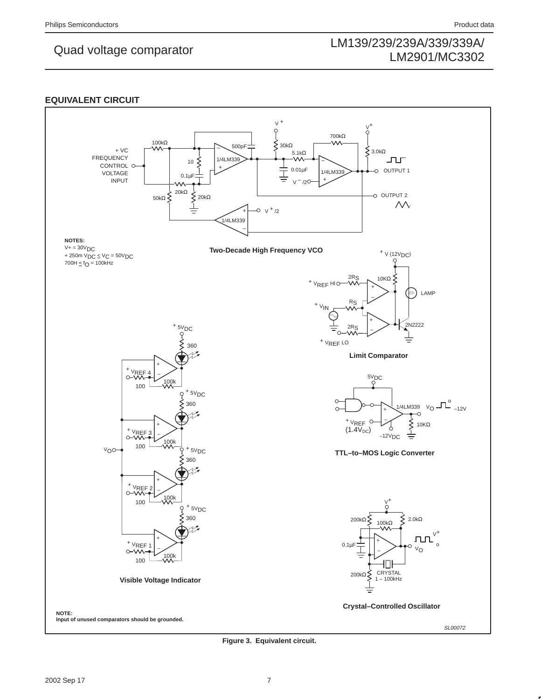## **EQUIVALENT CIRCUIT**



**Figure 3. Equivalent circuit.**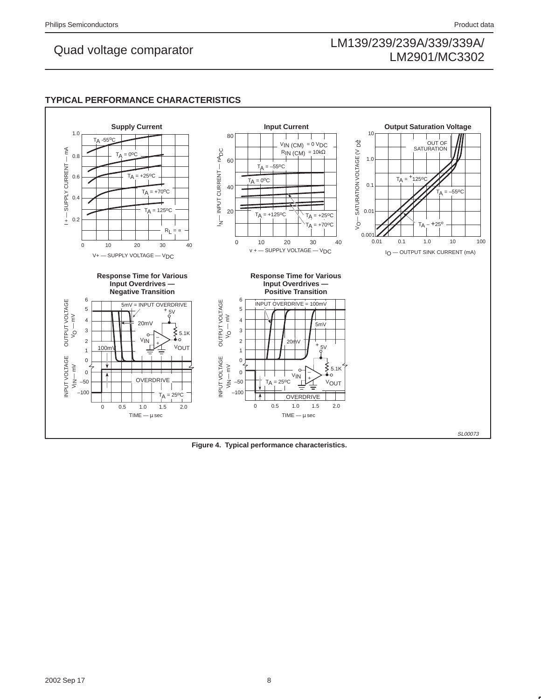## **TYPICAL PERFORMANCE CHARACTERISTICS**

![](_page_7_Figure_5.jpeg)

**Figure 4. Typical performance characteristics.**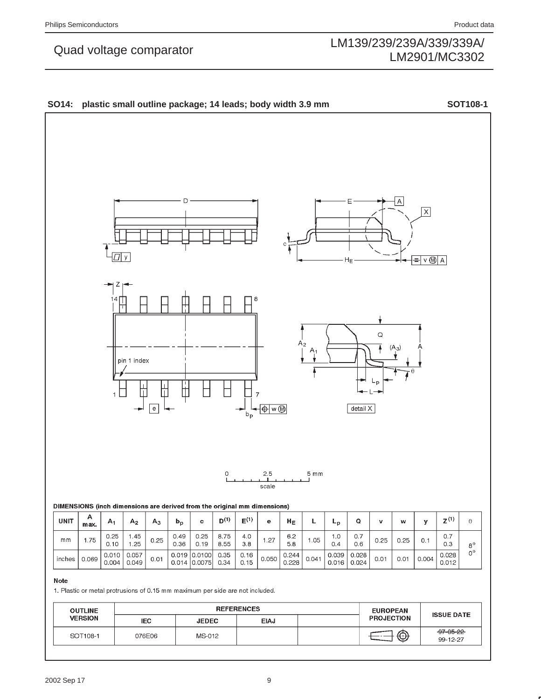![](_page_8_Figure_4.jpeg)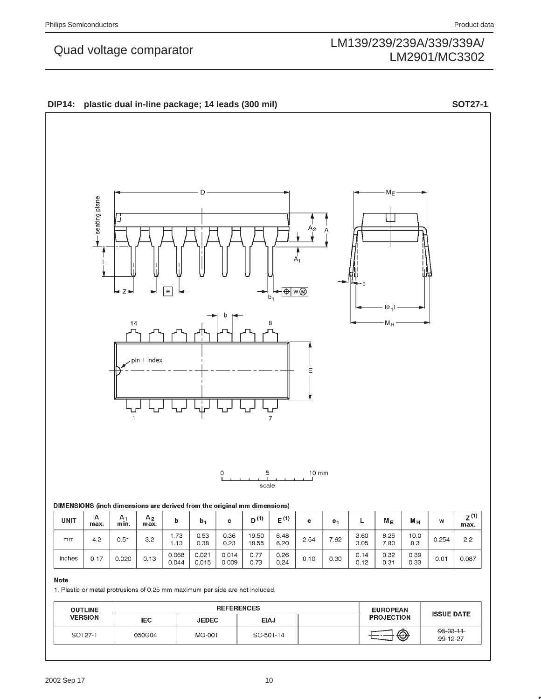$2.2\,$ 

 $0.087$ 

0.254

 $0.01$ 

# LM139/239/239A/339/339A/ Quad voltage comparator<br>LM2901/MC3302 LM2901/MC3302

## D  $M_E$ seating plane Ш ۹2  $\overline{\bigoplus}$  w $\overline{\bigoplus}$  $h_1$ (e М<sub>Н</sub> pin 1 index E  $\overline{7}$  $\mathbf 5$  $10$  mm  $\circ$ scale DIMENSIONS (inch dimensions are derived from the original mm dimensions)  $A_2$ <sub>max</sub>  $Z^{(1)}$ Α  $A_1$ <sub>min.</sub>  $D^{(1)}$  $E^{(1)}$ **UNIT**  $\mathsf{L}% _{0}\left( \mathsf{L}_{0}\right) ^{T}=\mathsf{L}_{0}\left( \mathsf{L}_{0}\right) ^{T}$  $\mathbf b$  $M_{E}$  $M_H$  $b_1$  $\mathbf c$  $\mathbf{e}% _{t}\left( t\right)$  $\mathsf{W}% _{T}=\mathsf{W}_{T}\!\left( a,b\right) ,\ \mathsf{W}_{T}=\mathsf{W}_{T}$  $e<sub>1</sub>$  $max.$  $\overline{\text{max}}$ . 1.73  $0.53$ 0.36 19.50 6.48  $3.60$ 8.25  $10.0$

**DIP14: plastic dual in-line package; 14 leads (300 mil) SOT27-1**

|--|

 $mm$ 

inches

 $4.2$ 

 $0.17$ 

 $0.51$ 

 $0.020$ 

1. Plastic or metal protrusions of 0.25 mm maximum per side are not included.

 $1.13$ 

0.068

 $0.044$ 

0.38

 $0.021$ 

 $0.015$ 

 $0.23$ 

 $0.014$ 

 $0.009$ 

 $3.2\,$ 

 $0.13$ 

| <b>OUTLINE</b> | <b>REFERENCES</b> |              |             | <b>EUROPEAN</b> | <b>ISSUE DATE</b> |                             |
|----------------|-------------------|--------------|-------------|-----------------|-------------------|-----------------------------|
| <b>VERSION</b> | <b>IEC</b>        | <b>JEDEC</b> | <b>EIAJ</b> |                 | <b>PROJECTION</b> |                             |
| SOT27-1        | 050G04            | MO-001       | SC-501-14   |                 | ⊕                 | $-95 - 03 - 11$<br>99-12-27 |

18.55

 $0.77$ 

 $0.73$ 

6.20

 $0.26$ 

 $0.24$ 

2.54

 $0.10$ 

7.62

 $0.30$ 

 $3.05$ 

 $0.14$ 

 $0.12$ 

7.80

 $0.32$ 

 $0.31$ 

8.3

0.39

0.33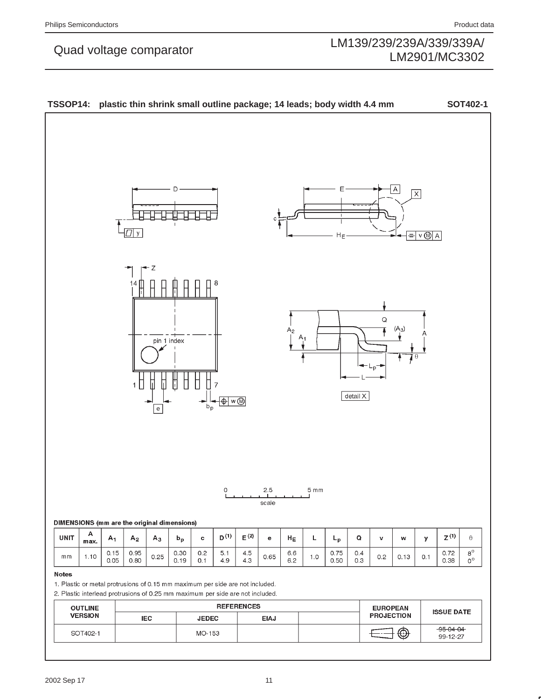![](_page_10_Figure_4.jpeg)